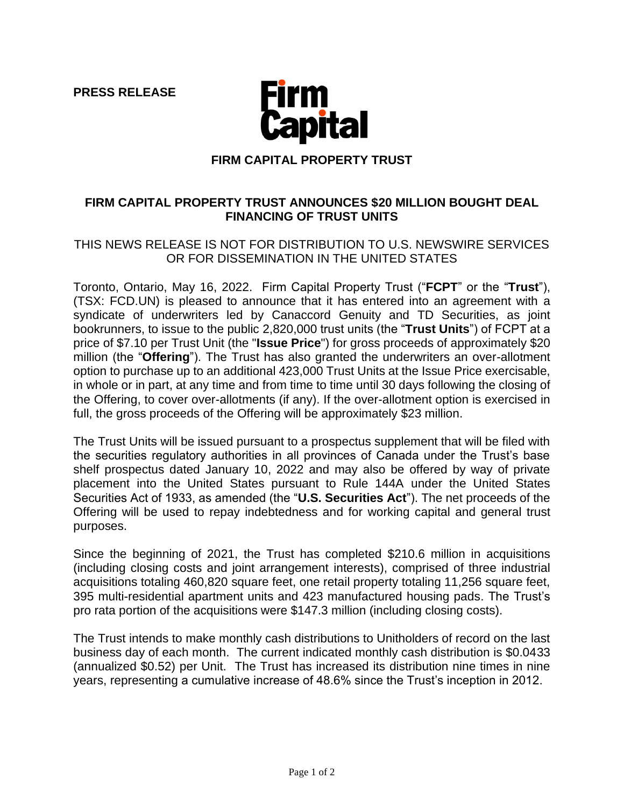**PRESS RELEASE**



### **FIRM CAPITAL PROPERTY TRUST**

# **FIRM CAPITAL PROPERTY TRUST ANNOUNCES \$20 MILLION BOUGHT DEAL FINANCING OF TRUST UNITS**

# THIS NEWS RELEASE IS NOT FOR DISTRIBUTION TO U.S. NEWSWIRE SERVICES OR FOR DISSEMINATION IN THE UNITED STATES

Toronto, Ontario, May 16, 2022. Firm Capital Property Trust ("**FCPT**" or the "**Trust**"), (TSX: FCD.UN) is pleased to announce that it has entered into an agreement with a syndicate of underwriters led by Canaccord Genuity and TD Securities, as joint bookrunners, to issue to the public 2,820,000 trust units (the "**Trust Units**") of FCPT at a price of \$7.10 per Trust Unit (the "**Issue Price**") for gross proceeds of approximately \$20 million (the "**Offering**"). The Trust has also granted the underwriters an over-allotment option to purchase up to an additional 423,000 Trust Units at the Issue Price exercisable, in whole or in part, at any time and from time to time until 30 days following the closing of the Offering, to cover over-allotments (if any). If the over-allotment option is exercised in full, the gross proceeds of the Offering will be approximately \$23 million.

The Trust Units will be issued pursuant to a prospectus supplement that will be filed with the securities regulatory authorities in all provinces of Canada under the Trust's base shelf prospectus dated January 10, 2022 and may also be offered by way of private placement into the United States pursuant to Rule 144A under the United States Securities Act of 1933, as amended (the "**U.S. Securities Act**"). The net proceeds of the Offering will be used to repay indebtedness and for working capital and general trust purposes.

Since the beginning of 2021, the Trust has completed \$210.6 million in acquisitions (including closing costs and joint arrangement interests), comprised of three industrial acquisitions totaling 460,820 square feet, one retail property totaling 11,256 square feet, 395 multi-residential apartment units and 423 manufactured housing pads. The Trust's pro rata portion of the acquisitions were \$147.3 million (including closing costs).

The Trust intends to make monthly cash distributions to Unitholders of record on the last business day of each month. The current indicated monthly cash distribution is \$0.0433 (annualized \$0.52) per Unit. The Trust has increased its distribution nine times in nine years, representing a cumulative increase of 48.6% since the Trust's inception in 2012.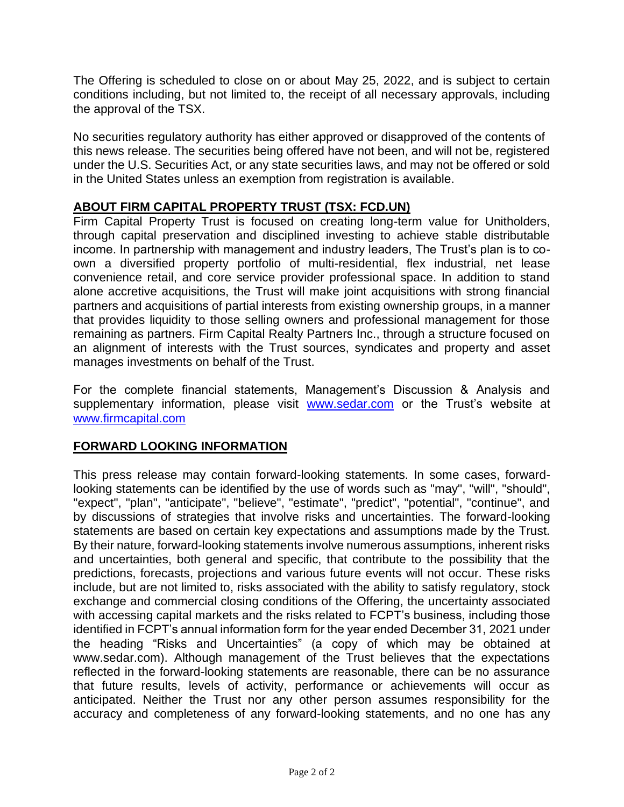The Offering is scheduled to close on or about May 25, 2022, and is subject to certain conditions including, but not limited to, the receipt of all necessary approvals, including the approval of the TSX.

No securities regulatory authority has either approved or disapproved of the contents of this news release. The securities being offered have not been, and will not be, registered under the U.S. Securities Act, or any state securities laws, and may not be offered or sold in the United States unless an exemption from registration is available.

# **ABOUT FIRM CAPITAL PROPERTY TRUST (TSX: FCD.UN)**

Firm Capital Property Trust is focused on creating long-term value for Unitholders, through capital preservation and disciplined investing to achieve stable distributable income. In partnership with management and industry leaders, The Trust's plan is to coown a diversified property portfolio of multi-residential, flex industrial, net lease convenience retail, and core service provider professional space. In addition to stand alone accretive acquisitions, the Trust will make joint acquisitions with strong financial partners and acquisitions of partial interests from existing ownership groups, in a manner that provides liquidity to those selling owners and professional management for those remaining as partners. Firm Capital Realty Partners Inc., through a structure focused on an alignment of interests with the Trust sources, syndicates and property and asset manages investments on behalf of the Trust.

For the complete financial statements, Management's Discussion & Analysis and supplementary information, please visit [www.sedar.com](http://www.sedar.com/) or the Trust's website at [www.firmcapital.com](http://www.firmcapital.com/)

### **FORWARD LOOKING INFORMATION**

This press release may contain forward-looking statements. In some cases, forwardlooking statements can be identified by the use of words such as "may", "will", "should", "expect", "plan", "anticipate", "believe", "estimate", "predict", "potential", "continue", and by discussions of strategies that involve risks and uncertainties. The forward-looking statements are based on certain key expectations and assumptions made by the Trust. By their nature, forward-looking statements involve numerous assumptions, inherent risks and uncertainties, both general and specific, that contribute to the possibility that the predictions, forecasts, projections and various future events will not occur. These risks include, but are not limited to, risks associated with the ability to satisfy regulatory, stock exchange and commercial closing conditions of the Offering, the uncertainty associated with accessing capital markets and the risks related to FCPT's business, including those identified in FCPT's annual information form for the year ended December 31, 2021 under the heading "Risks and Uncertainties" (a copy of which may be obtained at www.sedar.com). Although management of the Trust believes that the expectations reflected in the forward-looking statements are reasonable, there can be no assurance that future results, levels of activity, performance or achievements will occur as anticipated. Neither the Trust nor any other person assumes responsibility for the accuracy and completeness of any forward-looking statements, and no one has any